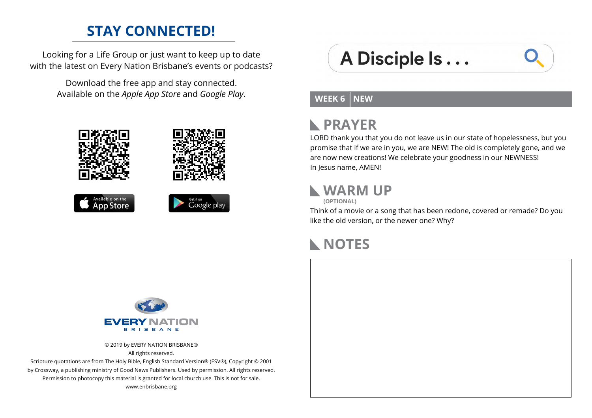#### **STAY CONNECTED!**

Looking for a Life Group or just want to keep up to date with the latest on Every Nation Brisbane's events or podcasts?

> Download the free app and stay connected. Available on the *Apple App Store* and *Google Play*.









# A Disciple Is...

#### **WEEK 6 NEW**

#### **PRAYER**  $\mathbb{R}$

LORD thank you that you do not leave us in our state of hopelessness, but you promise that if we are in you, we are NEW! The old is completely gone, and we are now new creations! We celebrate your goodness in our NEWNESS! In Jesus name, AMEN!

#### **WARM UP**

**(OPTIONAL)**

Think of a movie or a song that has been redone, covered or remade? Do you like the old version, or the newer one? Why?

### **NOTES**



© 2019 by EVERY NATION BRISBANE® All rights reserved.

Scripture quotations are from The Holy Bible, English Standard Version® (ESV®), Copyright © 2001 by Crossway, a publishing ministry of Good News Publishers. Used by permission. All rights reserved. Permission to photocopy this material is granted for local church use. This is not for sale. www.enbrisbane.org